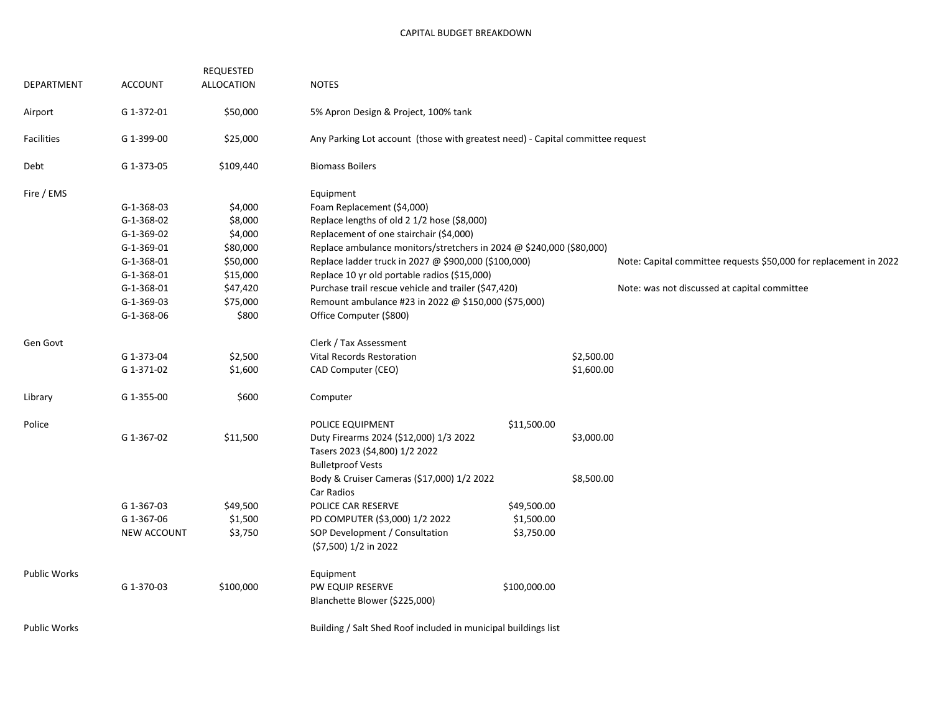| DEPARTMENT          | <b>ACCOUNT</b>                                                 | REQUESTED<br>ALLOCATION | <b>NOTES</b>                                                                   |              |            |                                                                   |  |  |
|---------------------|----------------------------------------------------------------|-------------------------|--------------------------------------------------------------------------------|--------------|------------|-------------------------------------------------------------------|--|--|
| Airport             | G 1-372-01                                                     | \$50,000                | 5% Apron Design & Project, 100% tank                                           |              |            |                                                                   |  |  |
| Facilities          | G 1-399-00                                                     | \$25,000                |                                                                                |              |            |                                                                   |  |  |
|                     |                                                                |                         | Any Parking Lot account (those with greatest need) - Capital committee request |              |            |                                                                   |  |  |
| Debt                | G 1-373-05                                                     | \$109,440               | <b>Biomass Boilers</b>                                                         |              |            |                                                                   |  |  |
| Fire / EMS          |                                                                |                         | Equipment                                                                      |              |            |                                                                   |  |  |
|                     | $G-1-368-03$                                                   | \$4,000                 | Foam Replacement (\$4,000)                                                     |              |            |                                                                   |  |  |
|                     | $G-1-368-02$                                                   | \$8,000                 | Replace lengths of old 2 1/2 hose (\$8,000)                                    |              |            |                                                                   |  |  |
|                     | $G-1-369-02$                                                   | \$4,000                 | Replacement of one stairchair (\$4,000)                                        |              |            |                                                                   |  |  |
|                     | G-1-369-01                                                     | \$80,000                | Replace ambulance monitors/stretchers in 2024 @ \$240,000 (\$80,000)           |              |            |                                                                   |  |  |
|                     | G-1-368-01                                                     | \$50,000                | Replace ladder truck in 2027 @ \$900,000 (\$100,000)                           |              |            | Note: Capital committee requests \$50,000 for replacement in 2022 |  |  |
|                     | G-1-368-01                                                     | \$15,000                | Replace 10 yr old portable radios (\$15,000)                                   |              |            |                                                                   |  |  |
|                     | $G-1-368-01$                                                   | \$47,420                | Purchase trail rescue vehicle and trailer (\$47,420)                           |              |            | Note: was not discussed at capital committee                      |  |  |
|                     | $G-1-369-03$                                                   | \$75,000                | Remount ambulance #23 in 2022 @ \$150,000 (\$75,000)                           |              |            |                                                                   |  |  |
|                     | G-1-368-06                                                     | \$800                   | Office Computer (\$800)                                                        |              |            |                                                                   |  |  |
| Gen Govt            |                                                                |                         | Clerk / Tax Assessment                                                         |              |            |                                                                   |  |  |
|                     | G 1-373-04                                                     | \$2,500                 | Vital Records Restoration                                                      |              | \$2,500.00 |                                                                   |  |  |
|                     | G 1-371-02                                                     | \$1,600                 | CAD Computer (CEO)                                                             |              | \$1,600.00 |                                                                   |  |  |
| Library             | G 1-355-00                                                     | \$600                   | Computer                                                                       |              |            |                                                                   |  |  |
| Police              |                                                                |                         | POLICE EQUIPMENT                                                               | \$11,500.00  |            |                                                                   |  |  |
|                     | G 1-367-02                                                     | \$11,500                | Duty Firearms 2024 (\$12,000) 1/3 2022                                         |              | \$3,000.00 |                                                                   |  |  |
|                     |                                                                |                         | Tasers 2023 (\$4,800) 1/2 2022                                                 |              |            |                                                                   |  |  |
|                     |                                                                |                         | <b>Bulletproof Vests</b>                                                       |              |            |                                                                   |  |  |
|                     |                                                                |                         | Body & Cruiser Cameras (\$17,000) 1/2 2022                                     |              | \$8,500.00 |                                                                   |  |  |
|                     |                                                                |                         | Car Radios                                                                     |              |            |                                                                   |  |  |
|                     | G 1-367-03                                                     | \$49,500                | POLICE CAR RESERVE                                                             | \$49,500.00  |            |                                                                   |  |  |
|                     | G 1-367-06                                                     | \$1,500                 | PD COMPUTER (\$3,000) 1/2 2022                                                 | \$1,500.00   |            |                                                                   |  |  |
|                     | <b>NEW ACCOUNT</b>                                             | \$3,750                 | SOP Development / Consultation<br>(\$7,500) 1/2 in 2022                        | \$3,750.00   |            |                                                                   |  |  |
| <b>Public Works</b> |                                                                |                         | Equipment                                                                      |              |            |                                                                   |  |  |
|                     | G 1-370-03                                                     | \$100,000               | PW EQUIP RESERVE                                                               | \$100,000.00 |            |                                                                   |  |  |
|                     |                                                                |                         | Blanchette Blower (\$225,000)                                                  |              |            |                                                                   |  |  |
| <b>Public Works</b> | Building / Salt Shed Roof included in municipal buildings list |                         |                                                                                |              |            |                                                                   |  |  |